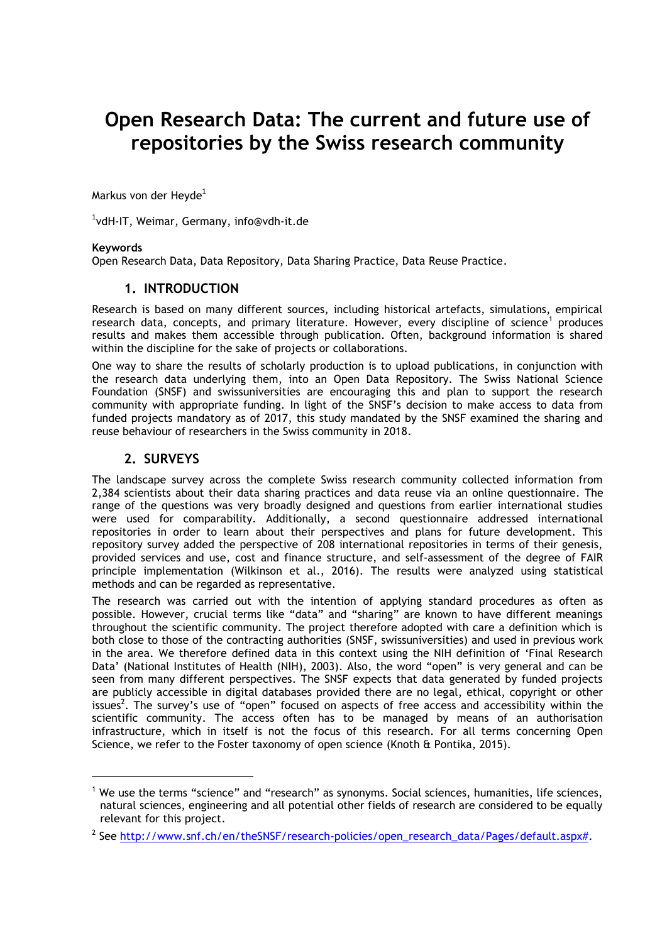# **Open Research Data: The current and future use of repositories by the Swiss research community**

Markus von der Heyde<sup>1</sup>

1 vdH-IT, Weimar, Germany, info@vdh-it.de

#### **Keywords**

l

Open Research Data, Data Repository, Data Sharing Practice, Data Reuse Practice.

#### **1. INTRODUCTION**

Research is based on many different sources, including historical artefacts, simulations, empirical research data, concepts, and primary literature. However, every discipline of science<sup>1</sup> produces results and makes them accessible through publication. Often, background information is shared within the discipline for the sake of projects or collaborations.

One way to share the results of scholarly production is to upload publications, in conjunction with the research data underlying them, into an Open Data Repository. The Swiss National Science Foundation (SNSF) and swissuniversities are encouraging this and plan to support the research community with appropriate funding. In light of the SNSF's decision to make access to data from funded projects mandatory as of 2017, this study mandated by the SNSF examined the sharing and reuse behaviour of researchers in the Swiss community in 2018.

#### **2. SURVEYS**

The landscape survey across the complete Swiss research community collected information from 2,384 scientists about their data sharing practices and data reuse via an online questionnaire. The range of the questions was very broadly designed and questions from earlier international studies were used for comparability. Additionally, a second questionnaire addressed international repositories in order to learn about their perspectives and plans for future development. This repository survey added the perspective of 208 international repositories in terms of their genesis, provided services and use, cost and finance structure, and self-assessment of the degree of FAIR principle implementation (Wilkinson et al., 2016). The results were analyzed using statistical methods and can be regarded as representative.

The research was carried out with the intention of applying standard procedures as often as possible. However, crucial terms like "data" and "sharing" are known to have different meanings throughout the scientific community. The project therefore adopted with care a definition which is both close to those of the contracting authorities (SNSF, swissuniversities) and used in previous work in the area. We therefore defined data in this context using the NIH definition of 'Final Research Data' (National Institutes of Health (NIH), 2003). Also, the word "open" is very general and can be seen from many different perspectives. The SNSF expects that data generated by funded projects are publicly accessible in digital databases provided there are no legal, ethical, copyright or other issues<sup>2</sup>. The survey's use of "open" focused on aspects of free access and accessibility within the scientific community. The access often has to be managed by means of an authorisation infrastructure, which in itself is not the focus of this research. For all terms concerning Open Science, we refer to the Foster taxonomy of open science (Knoth & Pontika, 2015).

<sup>1</sup> We use the terms "science" and "research" as synonyms. Social sciences, humanities, life sciences, natural sciences, engineering and all potential other fields of research are considered to be equally relevant for this project.

<sup>&</sup>lt;sup>2</sup> See [http://www.snf.ch/en/theSNSF/research-policies/open\\_research\\_data/Pages/default.aspx#.](http://www.snf.ch/en/theSNSF/research-policies/open_research_data/Pages/default.aspx)